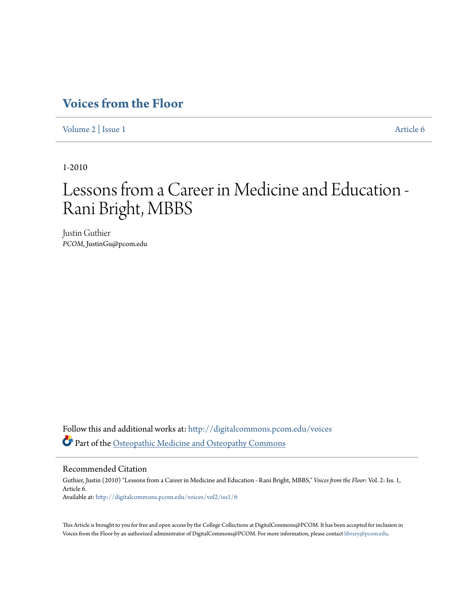## **[Voices from the Floor](http://digitalcommons.pcom.edu/voices?utm_source=digitalcommons.pcom.edu%2Fvoices%2Fvol2%2Fiss1%2F6&utm_medium=PDF&utm_campaign=PDFCoverPages)**

[Volume 2](http://digitalcommons.pcom.edu/voices/vol2?utm_source=digitalcommons.pcom.edu%2Fvoices%2Fvol2%2Fiss1%2F6&utm_medium=PDF&utm_campaign=PDFCoverPages) | [Issue 1](http://digitalcommons.pcom.edu/voices/vol2/iss1?utm_source=digitalcommons.pcom.edu%2Fvoices%2Fvol2%2Fiss1%2F6&utm_medium=PDF&utm_campaign=PDFCoverPages) [Article 6](http://digitalcommons.pcom.edu/voices/vol2/iss1/6?utm_source=digitalcommons.pcom.edu%2Fvoices%2Fvol2%2Fiss1%2F6&utm_medium=PDF&utm_campaign=PDFCoverPages)

1-2010

# Lessons from a Career in Medicine and Education - Rani Bright, MBBS

Justin Guthier *PCOM*, JustinGu@pcom.edu

Follow this and additional works at: [http://digitalcommons.pcom.edu/voices](http://digitalcommons.pcom.edu/voices?utm_source=digitalcommons.pcom.edu%2Fvoices%2Fvol2%2Fiss1%2F6&utm_medium=PDF&utm_campaign=PDFCoverPages) Part of the [Osteopathic Medicine and Osteopathy Commons](http://network.bepress.com/hgg/discipline/697?utm_source=digitalcommons.pcom.edu%2Fvoices%2Fvol2%2Fiss1%2F6&utm_medium=PDF&utm_campaign=PDFCoverPages)

### Recommended Citation

Guthier, Justin (2010) "Lessons from a Career in Medicine and Education - Rani Bright, MBBS," *Voices from the Floor*: Vol. 2: Iss. 1, Article 6. Available at: [http://digitalcommons.pcom.edu/voices/vol2/iss1/6](http://digitalcommons.pcom.edu/voices/vol2/iss1/6?utm_source=digitalcommons.pcom.edu%2Fvoices%2Fvol2%2Fiss1%2F6&utm_medium=PDF&utm_campaign=PDFCoverPages)

This Article is brought to you for free and open access by the College Collections at DigitalCommons@PCOM. It has been accepted for inclusion in Voices from the Floor by an authorized administrator of DigitalCommons@PCOM. For more information, please contact [library@pcom.edu](mailto:library@pcom.edu).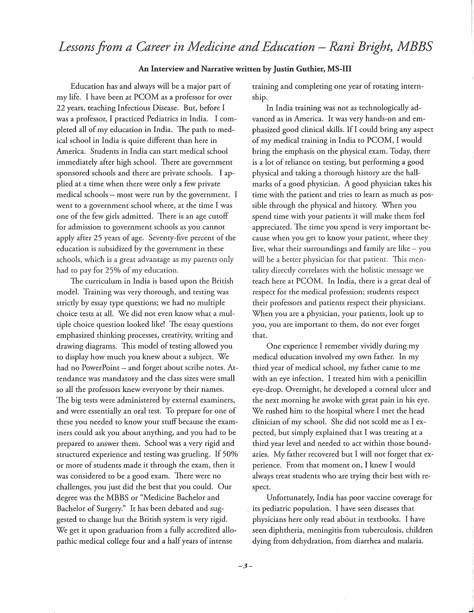## Lessons from a Career in Medicine and Education – Rani Bright, MBBS

#### An Interview and Narrative written by Justin Guthier, MS-111

Education has and always will be a major part of my life. I have been at PCOM as a professor for over 22 years, teaching Infectious Disease. But, before I was a professor, I practiced Pediatrics in India. I completed all of my education in India. The path to medical school in India is quite different than here in America. Students in India can start medical school immediately after high school. There are government sponsored schools and there are private schools. I applied at a time when there were only a few private medical schools - most were run by the government. I went to a government school where, at the time I was one of the few girls admitted. There is an age cutoff for admission to government schools as you cannot apply after 25 years of age. Seventy-five percent of the education is subsidized by the government in these schools, which is a great advantage as my parents only had to pay for 25% of my education.

The curriculum in India is based upon the British modeL Training was very thorough, and testing was strictly by essay type questions; we had no multiple choice tests at alL We did not even know what a multiple choice question looked like! The essay questions emphasized thinking processes, creativity, writing and drawing diagrams. This model of testing allowed you to display how much you knew about a subject. We had no PowerPoint - and forget about scribe notes. Attendance was mandatory and the class sizes were small so all the professors knew everyone by their names. The big tests were administered by external examiners, and were essentially an oral test. To prepare for one of these you needed to know your stuff because the examiners could ask you about anything, and you had to be prepared to answer them. School was a very rigid and structured experience and testing was grueling. If 50% or more of students made it through the exam, then it was considered to be a good exam. There were no challenges, you just did the best that you could. Our degree was the MBBS or "Medicine Bachelor and Bachelor of Surgery." It has been debated and suggested to change but the British system is very rigid. We get it upon graduation from a fully accredited allopathic medical college four and a half years of intense

training and completing one year of rotating internship.

In India training was not as technologically advanced as in America. It was very hands-on and emphasized good clinical skills. If I could bring any aspect of my medical training in India to PCOM, I would bring the emphasis on the physical exam. Today, there is a lot of reliance on testing, but performing a good physical and taking a thorough history are the hallmarks of a good physician. A good physician takes his time with the patient and tries to learn as much as possible through the physical and history. When you spend time with your patients it will make them feel appreciated. The time you spend is very important because when you get to know your patient, where they live, what their surroundings and family are like  $-$  you will be a better physician for that patient. This mentality directly correlates with the holistic message we teach here at PCOM. In India, there is a great deal of respect for the medical profession; students respect their professors and patients respect their physicians. When you are a physician, your patients, look up to you, you are important to them, do not ever forget that.

One experience I remember vividly during my medical education involved my own father. In my third year of medical school, my father came to me with an eye infection. I treated him with a penicillin eye-drop. Overnight, he developed a corneal ulcer and the next morning he awoke with great pain in his eye. We rushed him to the hospital where I met the head clinician of my school. She did not scold me as I expected, but simply explained that I was treating at a third year level and needed to act within those boundaries. My father recovered but I will not forget that experience. From that moment on, I knew I would always treat students who are trying their best with respect.

Unfortunately, India has poor vaccine coverage for its pediatric population. I have seen diseases that physicians here only read about in textbooks. I have seen diphtheria, meningitis from tuberculosis, children dying from dehydration, from diarrhea and malaria.